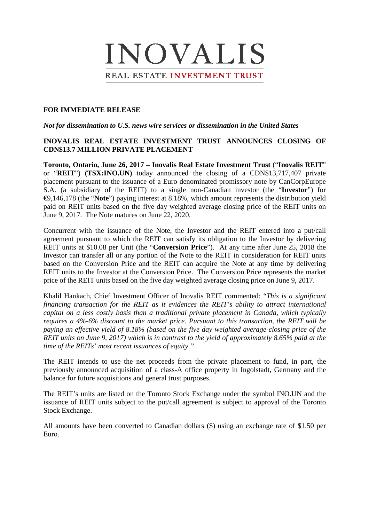# INOVALIS REAL ESTATE INVESTMENT TRUST

## **FOR IMMEDIATE RELEASE**

## *Not for dissemination to U.S. news wire services or dissemination in the United States*

# **INOVALIS REAL ESTATE INVESTMENT TRUST ANNOUNCES CLOSING OF CDN\$13.7 MILLION PRIVATE PLACEMENT**

**Toronto, Ontario, June 26, 2017 – Inovalis Real Estate Investment Trust** ("**Inovalis REIT**" or "**REIT**") **(TSX:INO.UN)** today announced the closing of a CDN\$13,717,407 private placement pursuant to the issuance of a Euro denominated promissory note by CanCorpEurope S.A. (a subsidiary of the REIT) to a single non-Canadian investor (the "**Investor**") for €9,146,178 (the "**Note**") paying interest at 8.18%, which amount represents the distribution yield paid on REIT units based on the five day weighted average closing price of the REIT units on June 9, 2017. The Note matures on June 22, 2020.

Concurrent with the issuance of the Note, the Investor and the REIT entered into a put/call agreement pursuant to which the REIT can satisfy its obligation to the Investor by delivering REIT units at \$10.08 per Unit (the "**Conversion Price**"). At any time after June 25, 2018 the Investor can transfer all or any portion of the Note to the REIT in consideration for REIT units based on the Conversion Price and the REIT can acquire the Note at any time by delivering REIT units to the Investor at the Conversion Price. The Conversion Price represents the market price of the REIT units based on the five day weighted average closing price on June 9, 2017.

Khalil Hankach, Chief Investment Officer of Inovalis REIT commented: "*This is a significant financing transaction for the REIT as it evidences the REIT's ability to attract international capital on a less costly basis than a traditional private placement in Canada, which typically requires a 4%-6% discount to the market price. Pursuant to this transaction, the REIT will be paying an effective yield of 8.18% (based on the five day weighted average closing price of the REIT units on June 9, 2017) which is in contrast to the yield of approximately 8.65% paid at the time of the REITs' most recent issuances of equity."*

The REIT intends to use the net proceeds from the private placement to fund, in part, the previously announced acquisition of a class-A office property in Ingolstadt, Germany and the balance for future acquisitions and general trust purposes.

The REIT's units are listed on the Toronto Stock Exchange under the symbol INO.UN and the issuance of REIT units subject to the put/call agreement is subject to approval of the Toronto Stock Exchange.

All amounts have been converted to Canadian dollars (\$) using an exchange rate of \$1.50 per Euro.